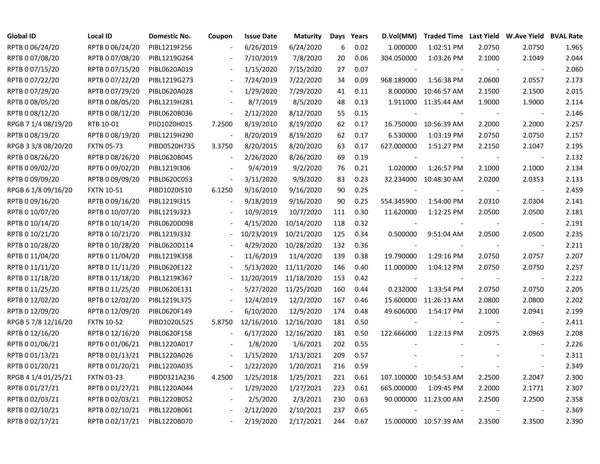| <b>Global ID</b>    | <b>Local ID</b>   | Domestic No. | Coupon                   | <b>Issue Date</b> | <b>Maturity</b> |     | Days Years | D.Vol(MM)                |                          |                          | Traded Time Last Yield W.Ave Yield BVAL Rate |       |
|---------------------|-------------------|--------------|--------------------------|-------------------|-----------------|-----|------------|--------------------------|--------------------------|--------------------------|----------------------------------------------|-------|
| RPTB 0 06/24/20     | RPTB 0 06/24/20   | PIBL1219F256 |                          | 6/26/2019         | 6/24/2020       | 6   | 0.02       | 1.000000                 | 1:02:51 PM               | 2.0750                   | 2.0750                                       | 1.965 |
| RPTB 0 07/08/20     | RPTB 0 07/08/20   | PIBL1219G264 |                          | 7/10/2019         | 7/8/2020        | 20  | 0.06       | 304.050000               | 1:03:26 PM               | 2.1000                   | 2.1049                                       | 2.044 |
| RPTB 0 07/15/20     | RPTB 0 07/15/20   | PIBL0620A019 |                          | 1/15/2020         | 7/15/2020       | 27  | 0.07       |                          |                          | $\overline{\phantom{a}}$ | $\sim$                                       | 2.060 |
| RPTB 0 07/22/20     | RPTB 0 07/22/20   | PIBL1219G273 | $\blacksquare$           | 7/24/2019         | 7/22/2020       | 34  | 0.09       | 968.189000               | 1:56:38 PM               | 2.0600                   | 2.0557                                       | 2.173 |
| RPTB 0 07/29/20     | RPTB 0 07/29/20   | PIBL0620A028 | $\blacksquare$           | 1/29/2020         | 7/29/2020       | 41  | 0.11       |                          | 8.000000 10:46:57 AM     | 2.1500                   | 2.1500                                       | 2.015 |
| RPTB 0 08/05/20     | RPTB 0 08/05/20   | PIBL1219H281 | $\overline{\phantom{a}}$ | 8/7/2019          | 8/5/2020        | 48  | 0.13       |                          | 1.911000 11:35:44 AM     | 1.9000                   | 1.9000                                       | 2.114 |
| RPTB 0 08/12/20     | RPTB 0 08/12/20   | PIBL0620B036 | $\blacksquare$           | 2/12/2020         | 8/12/2020       | 55  | 0.15       |                          |                          |                          |                                              | 2.146 |
| RPGB 7 1/4 08/19/20 | RTB 10-01         | PIID1020H015 | 7.2500                   | 8/19/2010         | 8/19/2020       | 62  | 0.17       |                          | 16.750000 10:56:39 AM    | 2.2000                   | 2.2000                                       | 2.257 |
| RPTB 0 08/19/20     | RPTB 0 08/19/20   | PIBL1219H290 | $\overline{\phantom{a}}$ | 8/20/2019         | 8/19/2020       | 62  | 0.17       | 6.530000                 | 1:03:19 PM               | 2.0750                   | 2.0750                                       | 2.157 |
| RPGB 3 3/8 08/20/20 | <b>FXTN 05-73</b> | PIBD0520H735 | 3.3750                   | 8/20/2015         | 8/20/2020       | 63  | 0.17       | 627.000000               | 1:51:27 PM               | 2.2150                   | 2.1047                                       | 2.195 |
| RPTB 0 08/26/20     | RPTB 0 08/26/20   | PIBL0620B045 | $\overline{\phantom{a}}$ | 2/26/2020         | 8/26/2020       | 69  | 0.19       | $\sim$                   | $\overline{\phantom{a}}$ |                          | $\sim$                                       | 2.132 |
| RPTB 0 09/02/20     | RPTB 0 09/02/20   | PIBL1219I306 |                          | 9/4/2019          | 9/2/2020        | 76  | 0.21       | 1.020000                 | 1:26:57 PM               | 2.1000                   | 2.1000                                       | 2.134 |
| RPTB 0 09/09/20     | RPTB 0 09/09/20   | PIBL0620C053 | $\overline{\phantom{a}}$ | 3/11/2020         | 9/9/2020        | 83  | 0.23       |                          | 32.234000 10:48:30 AM    | 2.0200                   | 2.0353                                       | 2.133 |
| RPGB 6 1/8 09/16/20 | <b>FXTN 10-51</b> | PIBD1020I510 | 6.1250                   | 9/16/2010         | 9/16/2020       | 90  | 0.25       |                          |                          |                          |                                              | 2.459 |
| RPTB 0 09/16/20     | RPTB 0 09/16/20   | PIBL1219I315 |                          | 9/18/2019         | 9/16/2020       | 90  | 0.25       | 554.345900               | 1:54:00 PM               | 2.0310                   | 2.0304                                       | 2.141 |
| RPTB 0 10/07/20     | RPTB 0 10/07/20   | PIBL1219J323 | $\overline{\phantom{a}}$ | 10/9/2019         | 10/7/2020       | 111 | 0.30       | 11.620000                | 1:12:25 PM               | 2.0500                   | 2.0500                                       | 2.181 |
| RPTB 0 10/14/20     | RPTB 0 10/14/20   | PIBL0620D098 |                          | 4/15/2020         | 10/14/2020      | 118 | 0.32       |                          |                          |                          | $\blacksquare$                               | 2.191 |
| RPTB 0 10/21/20     | RPTB 0 10/21/20   | PIBL1219J332 | $\overline{\phantom{a}}$ | 10/23/2019        | 10/21/2020      | 125 | 0.34       | 0.500000                 | 9:51:04 AM               | 2.0500                   | 2.0500                                       | 2.235 |
| RPTB 0 10/28/20     | RPTB 0 10/28/20   | PIBL0620D114 |                          | 4/29/2020         | 10/28/2020      | 132 | 0.36       |                          |                          |                          |                                              | 2.211 |
| RPTB 0 11/04/20     | RPTB 0 11/04/20   | PIBL1219K358 |                          | 11/6/2019         | 11/4/2020       | 139 | 0.38       | 19.790000                | 1:29:16 PM               | 2.0750                   | 2.0757                                       | 2.207 |
| RPTB 0 11/11/20     | RPTB 0 11/11/20   | PIBL0620E122 |                          | 5/13/2020         | 11/11/2020      | 146 | 0.40       | 11.000000                | 1:04:12 PM               | 2.0750                   | 2.0750                                       | 2.257 |
| RPTB 0 11/18/20     | RPTB 0 11/18/20   | PIBL1219K367 |                          | 11/20/2019        | 11/18/2020      | 153 | 0.42       | $\overline{\phantom{a}}$ |                          |                          | $\overline{\phantom{a}}$                     | 2.222 |
| RPTB 0 11/25/20     | RPTB 0 11/25/20   | PIBL0620E131 |                          | 5/27/2020         | 11/25/2020      | 160 | 0.44       | 0.232000                 | 1:33:54 PM               | 2.0750                   | 2.0750                                       | 2.205 |
| RPTB 0 12/02/20     | RPTB 0 12/02/20   | PIBL1219L375 |                          | 12/4/2019         | 12/2/2020       | 167 | 0.46       | 15.600000                | 11:26:13 AM              | 2.0800                   | 2.0800                                       | 2.202 |
| RPTB 0 12/09/20     | RPTB 0 12/09/20   | PIBL0620F149 |                          | 6/10/2020         | 12/9/2020       | 174 | 0.48       | 49.606000                | 1:54:17 PM               | 2.1000                   | 2.0941                                       | 2.199 |
| RPGB 5 7/8 12/16/20 | <b>FXTN 10-52</b> | PIBD1020L525 | 5.8750                   | 12/16/2010        | 12/16/2020      | 181 | 0.50       | $\overline{\phantom{a}}$ |                          |                          | $\overline{\phantom{a}}$                     | 2.411 |
| RPTB 0 12/16/20     | RPTB 0 12/16/20   | PIBL0620F158 |                          | 6/17/2020         | 12/16/2020      | 181 | 0.50       | 122.666000               | 1:22:13 PM               | 2.0975                   | 2.0969                                       | 2.208 |
| RPTB 0 01/06/21     | RPTB 0 01/06/21   | PIBL1220A017 |                          | 1/8/2020          | 1/6/2021        | 202 | 0.55       |                          |                          |                          |                                              | 2.226 |
| RPTB 0 01/13/21     | RPTB 0 01/13/21   | PIBL1220A026 |                          | 1/15/2020         | 1/13/2021       | 209 | 0.57       |                          |                          |                          |                                              | 2.311 |
| RPTB 0 01/20/21     | RPTB 0 01/20/21   | PIBL1220A035 | $\blacksquare$           | 1/22/2020         | 1/20/2021       | 216 | 0.59       |                          |                          |                          |                                              | 2.349 |
| RPGB 4 1/4 01/25/21 | <b>FXTN 03-23</b> | PIBD0321A236 | 4.2500                   | 1/25/2018         | 1/25/2021       | 221 | 0.61       |                          | 107.100000 10:54:53 AM   | 2.2500                   | 2.2047                                       | 2.300 |
| RPTB 0 01/27/21     | RPTB 0 01/27/21   | PIBL1220A044 | $\overline{\phantom{a}}$ | 1/29/2020         | 1/27/2021       | 223 | 0.61       | 665.000000               | 1:09:45 PM               | 2.2000                   | 2.1771                                       | 2.307 |
| RPTB 0 02/03/21     | RPTB 0 02/03/21   | PIBL1220B052 |                          | 2/5/2020          | 2/3/2021        | 230 | 0.63       |                          | 90.000000 11:23:00 AM    | 2.2500                   | 2.2500                                       | 2.358 |
| RPTB 0 02/10/21     | RPTB 0 02/10/21   | PIBL1220B061 |                          | 2/12/2020         | 2/10/2021       | 237 | 0.65       |                          |                          |                          |                                              | 2.369 |
| RPTB 0 02/17/21     | RPTB 0 02/17/21   | PIBL1220B070 |                          | 2/19/2020         | 2/17/2021       | 244 | 0.67       |                          | 15.000000 10:57:39 AM    | 2.3500                   | 2.3500                                       | 2.390 |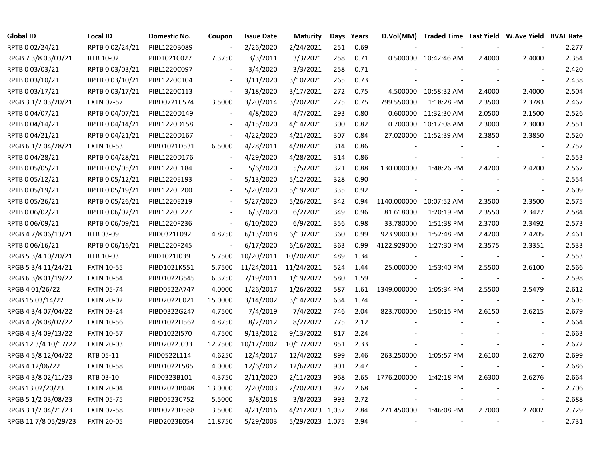| <b>Global ID</b>     | <b>Local ID</b>   | Domestic No. | Coupon                   | <b>Issue Date</b> | <b>Maturity</b> | Days | Years | D.Vol(MM)   | Traded Time Last Yield W.Ave Yield BVAL Rate |        |                          |       |
|----------------------|-------------------|--------------|--------------------------|-------------------|-----------------|------|-------|-------------|----------------------------------------------|--------|--------------------------|-------|
| RPTB 0 02/24/21      | RPTB 0 02/24/21   | PIBL1220B089 |                          | 2/26/2020         | 2/24/2021       | 251  | 0.69  |             |                                              |        |                          | 2.277 |
| RPGB 7 3/8 03/03/21  | RTB 10-02         | PIID1021C027 | 7.3750                   | 3/3/2011          | 3/3/2021        | 258  | 0.71  |             | 0.500000 10:42:46 AM                         | 2.4000 | 2.4000                   | 2.354 |
| RPTB 0 03/03/21      | RPTB 0 03/03/21   | PIBL1220C097 |                          | 3/4/2020          | 3/3/2021        | 258  | 0.71  |             |                                              |        |                          | 2.420 |
| RPTB 0 03/10/21      | RPTB 0 03/10/21   | PIBL1220C104 | $\overline{\phantom{a}}$ | 3/11/2020         | 3/10/2021       | 265  | 0.73  |             |                                              |        | $\blacksquare$           | 2.438 |
| RPTB 0 03/17/21      | RPTB 0 03/17/21   | PIBL1220C113 | $\overline{\phantom{a}}$ | 3/18/2020         | 3/17/2021       | 272  | 0.75  |             | 4.500000 10:58:32 AM                         | 2.4000 | 2.4000                   | 2.504 |
| RPGB 3 1/2 03/20/21  | <b>FXTN 07-57</b> | PIBD0721C574 | 3.5000                   | 3/20/2014         | 3/20/2021       | 275  | 0.75  | 799.550000  | 1:18:28 PM                                   | 2.3500 | 2.3783                   | 2.467 |
| RPTB 0 04/07/21      | RPTB 0 04/07/21   | PIBL1220D149 | $\overline{\phantom{a}}$ | 4/8/2020          | 4/7/2021        | 293  | 0.80  | 0.600000    | 11:32:30 AM                                  | 2.0500 | 2.1500                   | 2.526 |
| RPTB 0 04/14/21      | RPTB 0 04/14/21   | PIBL1220D158 |                          | 4/15/2020         | 4/14/2021       | 300  | 0.82  | 0.700000    | 10:17:08 AM                                  | 2.3000 | 2.3000                   | 2.551 |
| RPTB 0 04/21/21      | RPTB 0 04/21/21   | PIBL1220D167 | $\overline{\phantom{a}}$ | 4/22/2020         | 4/21/2021       | 307  | 0.84  |             | 27.020000 11:52:39 AM                        | 2.3850 | 2.3850                   | 2.520 |
| RPGB 6 1/2 04/28/21  | <b>FXTN 10-53</b> | PIBD1021D531 | 6.5000                   | 4/28/2011         | 4/28/2021       | 314  | 0.86  |             |                                              |        |                          | 2.757 |
| RPTB 0 04/28/21      | RPTB 0 04/28/21   | PIBL1220D176 | $\overline{\phantom{a}}$ | 4/29/2020         | 4/28/2021       | 314  | 0.86  |             |                                              |        | $\overline{\phantom{a}}$ | 2.553 |
| RPTB 0 05/05/21      | RPTB 0 05/05/21   | PIBL1220E184 |                          | 5/6/2020          | 5/5/2021        | 321  | 0.88  | 130.000000  | 1:48:26 PM                                   | 2.4200 | 2.4200                   | 2.567 |
| RPTB 0 05/12/21      | RPTB 0 05/12/21   | PIBL1220E193 | $\overline{\phantom{a}}$ | 5/13/2020         | 5/12/2021       | 328  | 0.90  |             |                                              |        |                          | 2.554 |
| RPTB 0 05/19/21      | RPTB 0 05/19/21   | PIBL1220E200 |                          | 5/20/2020         | 5/19/2021       | 335  | 0.92  |             |                                              |        | $\blacksquare$           | 2.609 |
| RPTB 0 05/26/21      | RPTB 0 05/26/21   | PIBL1220E219 |                          | 5/27/2020         | 5/26/2021       | 342  | 0.94  | 1140.000000 | 10:07:52 AM                                  | 2.3500 | 2.3500                   | 2.575 |
| RPTB 0 06/02/21      | RPTB 0 06/02/21   | PIBL1220F227 |                          | 6/3/2020          | 6/2/2021        | 349  | 0.96  | 81.618000   | 1:20:19 PM                                   | 2.3550 | 2.3427                   | 2.584 |
| RPTB 0 06/09/21      | RPTB 0 06/09/21   | PIBL1220F236 | $\overline{\phantom{a}}$ | 6/10/2020         | 6/9/2021        | 356  | 0.98  | 33.780000   | 1:51:38 PM                                   | 2.3700 | 2.3492                   | 2.573 |
| RPGB 4 7/8 06/13/21  | RTB 03-09         | PIID0321F092 | 4.8750                   | 6/13/2018         | 6/13/2021       | 360  | 0.99  | 923.900000  | 1:52:48 PM                                   | 2.4200 | 2.4205                   | 2.461 |
| RPTB 0 06/16/21      | RPTB 0 06/16/21   | PIBL1220F245 |                          | 6/17/2020         | 6/16/2021       | 363  | 0.99  | 4122.929000 | 1:27:30 PM                                   | 2.3575 | 2.3351                   | 2.533 |
| RPGB 5 3/4 10/20/21  | RTB 10-03         | PIID1021J039 | 5.7500                   | 10/20/2011        | 10/20/2021      | 489  | 1.34  |             |                                              |        | $\overline{\phantom{a}}$ | 2.553 |
| RPGB 5 3/4 11/24/21  | <b>FXTN 10-55</b> | PIBD1021K551 | 5.7500                   | 11/24/2011        | 11/24/2021      | 524  | 1.44  | 25.000000   | 1:53:40 PM                                   | 2.5500 | 2.6100                   | 2.566 |
| RPGB 6 3/8 01/19/22  | <b>FXTN 10-54</b> | PIBD1022G545 | 6.3750                   | 7/19/2011         | 1/19/2022       | 580  | 1.59  |             |                                              |        | $\overline{\phantom{a}}$ | 2.598 |
| RPGB 4 01/26/22      | <b>FXTN 05-74</b> | PIBD0522A747 | 4.0000                   | 1/26/2017         | 1/26/2022       | 587  | 1.61  | 1349.000000 | 1:05:34 PM                                   | 2.5500 | 2.5479                   | 2.612 |
| RPGB 15 03/14/22     | <b>FXTN 20-02</b> | PIBD2022C021 | 15.0000                  | 3/14/2002         | 3/14/2022       | 634  | 1.74  |             |                                              |        | $\overline{\phantom{a}}$ | 2.605 |
| RPGB 4 3/4 07/04/22  | <b>FXTN 03-24</b> | PIBD0322G247 | 4.7500                   | 7/4/2019          | 7/4/2022        | 746  | 2.04  | 823.700000  | 1:50:15 PM                                   | 2.6150 | 2.6215                   | 2.679 |
| RPGB 4 7/8 08/02/22  | <b>FXTN 10-56</b> | PIBD1022H562 | 4.8750                   | 8/2/2012          | 8/2/2022        | 775  | 2.12  |             |                                              |        |                          | 2.664 |
| RPGB 4 3/4 09/13/22  | <b>FXTN 10-57</b> | PIBD1022I570 | 4.7500                   | 9/13/2012         | 9/13/2022       | 817  | 2.24  |             |                                              |        |                          | 2.663 |
| RPGB 12 3/4 10/17/22 | <b>FXTN 20-03</b> | PIBD2022J033 | 12.7500                  | 10/17/2002        | 10/17/2022      | 851  | 2.33  |             |                                              |        |                          | 2.672 |
| RPGB 4 5/8 12/04/22  | RTB 05-11         | PIID0522L114 | 4.6250                   | 12/4/2017         | 12/4/2022       | 899  | 2.46  | 263.250000  | 1:05:57 PM                                   | 2.6100 | 2.6270                   | 2.699 |
| RPGB 4 12/06/22      | <b>FXTN 10-58</b> | PIBD1022L585 | 4.0000                   | 12/6/2012         | 12/6/2022       | 901  | 2.47  |             |                                              |        | $\blacksquare$           | 2.686 |
| RPGB 4 3/8 02/11/23  | RTB 03-10         | PIID0323B101 | 4.3750                   | 2/11/2020         | 2/11/2023       | 968  | 2.65  | 1776.200000 | 1:42:18 PM                                   | 2.6300 | 2.6276                   | 2.664 |
| RPGB 13 02/20/23     | <b>FXTN 20-04</b> | PIBD2023B048 | 13.0000                  | 2/20/2003         | 2/20/2023       | 977  | 2.68  |             |                                              |        | $\blacksquare$           | 2.706 |
| RPGB 5 1/2 03/08/23  | <b>FXTN 05-75</b> | PIBD0523C752 | 5.5000                   | 3/8/2018          | 3/8/2023        | 993  | 2.72  |             |                                              |        | $\blacksquare$           | 2.688 |
| RPGB 3 1/2 04/21/23  | <b>FXTN 07-58</b> | PIBD0723D588 | 3.5000                   | 4/21/2016         | 4/21/2023 1,037 |      | 2.84  | 271.450000  | 1:46:08 PM                                   | 2.7000 | 2.7002                   | 2.729 |
| RPGB 11 7/8 05/29/23 | <b>FXTN 20-05</b> | PIBD2023E054 | 11.8750                  | 5/29/2003         | 5/29/2023 1,075 |      | 2.94  |             |                                              |        |                          | 2.731 |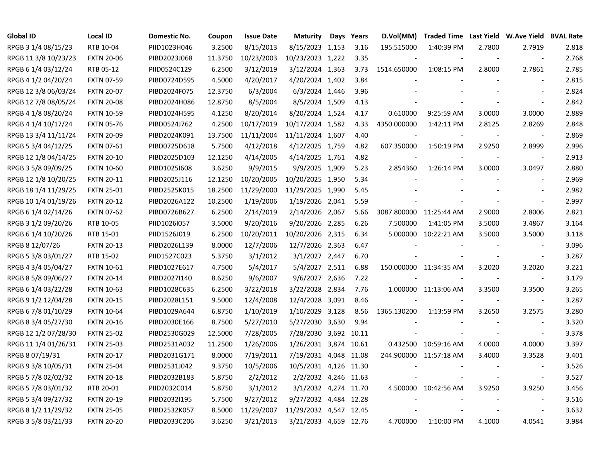| <b>Global ID</b>     | <b>Local ID</b>   | Domestic No. | Coupon  | <b>Issue Date</b> | <b>Maturity</b>        | Days Years | D.Vol(MM)   |                        |                          | Traded Time Last Yield W.Ave Yield BVAL Rate |       |
|----------------------|-------------------|--------------|---------|-------------------|------------------------|------------|-------------|------------------------|--------------------------|----------------------------------------------|-------|
| RPGB 3 1/4 08/15/23  | RTB 10-04         | PIID1023H046 | 3.2500  | 8/15/2013         | 8/15/2023 1,153        | 3.16       | 195.515000  | 1:40:39 PM             | 2.7800                   | 2.7919                                       | 2.818 |
| RPGB 11 3/8 10/23/23 | <b>FXTN 20-06</b> | PIBD2023J068 | 11.3750 | 10/23/2003        | 10/23/2023 1,222       | 3.35       |             |                        |                          | $\overline{\phantom{a}}$                     | 2.768 |
| RPGB 6 1/4 03/12/24  | RTB 05-12         | PIID0524C129 | 6.2500  | 3/12/2019         | 3/12/2024 1,363        | 3.73       | 1514.650000 | 1:08:15 PM             | 2.8000                   | 2.7861                                       | 2.785 |
| RPGB 4 1/2 04/20/24  | <b>FXTN 07-59</b> | PIBD0724D595 | 4.5000  | 4/20/2017         | 4/20/2024 1,402        | 3.84       |             |                        |                          | $\overline{\phantom{a}}$                     | 2.815 |
| RPGB 12 3/8 06/03/24 | <b>FXTN 20-07</b> | PIBD2024F075 | 12.3750 | 6/3/2004          | 6/3/2024 1,446         | 3.96       |             |                        |                          | $\blacksquare$                               | 2.824 |
| RPGB 12 7/8 08/05/24 | <b>FXTN 20-08</b> | PIBD2024H086 | 12.8750 | 8/5/2004          | 8/5/2024 1,509         | 4.13       |             |                        |                          | $\overline{\phantom{a}}$                     | 2.842 |
| RPGB 4 1/8 08/20/24  | <b>FXTN 10-59</b> | PIBD1024H595 | 4.1250  | 8/20/2014         | 8/20/2024 1,524        | 4.17       | 0.610000    | 9:25:59 AM             | 3.0000                   | 3.0000                                       | 2.889 |
| RPGB 4 1/4 10/17/24  | <b>FXTN 05-76</b> | PIBD0524J762 | 4.2500  | 10/17/2019        | 10/17/2024 1,582       | 4.33       | 4350.000000 | 1:42:11 PM             | 2.8125                   | 2.8269                                       | 2.848 |
| RPGB 13 3/4 11/11/24 | <b>FXTN 20-09</b> | PIBD2024K091 | 13.7500 | 11/11/2004        | 11/11/2024 1,607       | 4.40       |             |                        |                          | $\blacksquare$                               | 2.869 |
| RPGB 5 3/4 04/12/25  | <b>FXTN 07-61</b> | PIBD0725D618 | 5.7500  | 4/12/2018         | 4/12/2025 1,759        | 4.82       | 607.350000  | 1:50:19 PM             | 2.9250                   | 2.8999                                       | 2.996 |
| RPGB 12 1/8 04/14/25 | <b>FXTN 20-10</b> | PIBD2025D103 | 12.1250 | 4/14/2005         | 4/14/2025 1,761        | 4.82       |             |                        |                          | $\overline{\phantom{a}}$                     | 2.913 |
| RPGB 3 5/8 09/09/25  | <b>FXTN 10-60</b> | PIBD1025I608 | 3.6250  | 9/9/2015          | 9/9/2025 1,909         | 5.23       | 2.854360    | 1:26:14 PM             | 3.0000                   | 3.0497                                       | 2.880 |
| RPGB 12 1/8 10/20/25 | <b>FXTN 20-11</b> | PIBD2025J116 | 12.1250 | 10/20/2005        | 10/20/2025 1,950       | 5.34       |             |                        |                          | $\blacksquare$                               | 2.969 |
| RPGB 18 1/4 11/29/25 | <b>FXTN 25-01</b> | PIBD2525K015 | 18.2500 | 11/29/2000        | 11/29/2025 1,990       | 5.45       |             |                        |                          |                                              | 2.982 |
| RPGB 10 1/4 01/19/26 | <b>FXTN 20-12</b> | PIBD2026A122 | 10.2500 | 1/19/2006         | 1/19/2026 2,041        | 5.59       |             |                        |                          |                                              | 2.997 |
| RPGB 6 1/4 02/14/26  | <b>FXTN 07-62</b> | PIBD0726B627 | 6.2500  | 2/14/2019         | 2/14/2026 2,067        | 5.66       | 3087.800000 | 11:25:44 AM            | 2.9000                   | 2.8006                                       | 2.821 |
| RPGB 3 1/2 09/20/26  | RTB 10-05         | PIID1026I057 | 3.5000  | 9/20/2016         | 9/20/2026 2,285        | 6.26       | 7.500000    | 1:41:05 PM             | 3.5000                   | 3.4867                                       | 3.164 |
| RPGB 6 1/4 10/20/26  | RTB 15-01         | PIID1526J019 | 6.2500  | 10/20/2011        | 10/20/2026 2,315       | 6.34       | 5.000000    | 10:22:21 AM            | 3.5000                   | 3.5000                                       | 3.118 |
| RPGB 8 12/07/26      | <b>FXTN 20-13</b> | PIBD2026L139 | 8.0000  | 12/7/2006         | 12/7/2026 2,363        | 6.47       |             |                        | $\overline{\phantom{a}}$ | $\overline{\phantom{a}}$                     | 3.096 |
| RPGB 5 3/8 03/01/27  | RTB 15-02         | PIID1527C023 | 5.3750  | 3/1/2012          | 3/1/2027 2,447         | 6.70       |             |                        |                          | $\blacksquare$                               | 3.287 |
| RPGB 4 3/4 05/04/27  | FXTN 10-61        | PIBD1027E617 | 4.7500  | 5/4/2017          | 5/4/2027 2,511         | 6.88       |             | 150.000000 11:34:35 AM | 3.2020                   | 3.2020                                       | 3.221 |
| RPGB 8 5/8 09/06/27  | <b>FXTN 20-14</b> | PIBD2027I140 | 8.6250  | 9/6/2007          | 9/6/2027 2,636         | 7.22       |             |                        |                          | $\blacksquare$                               | 3.179 |
| RPGB 6 1/4 03/22/28  | <b>FXTN 10-63</b> | PIBD1028C635 | 6.2500  | 3/22/2018         | 3/22/2028 2,834        | 7.76       |             | 1.000000 11:13:06 AM   | 3.3500                   | 3.3500                                       | 3.265 |
| RPGB 9 1/2 12/04/28  | <b>FXTN 20-15</b> | PIBD2028L151 | 9.5000  | 12/4/2008         | 12/4/2028 3,091        | 8.46       |             |                        |                          | $\overline{\phantom{a}}$                     | 3.287 |
| RPGB 6 7/8 01/10/29  | <b>FXTN 10-64</b> | PIBD1029A644 | 6.8750  | 1/10/2019         | 1/10/2029 3,128        | 8.56       | 1365.130200 | 1:13:59 PM             | 3.2650                   | 3.2575                                       | 3.280 |
| RPGB 8 3/4 05/27/30  | <b>FXTN 20-16</b> | PIBD2030E166 | 8.7500  | 5/27/2010         | 5/27/2030 3,630        | 9.94       |             |                        |                          | $\blacksquare$                               | 3.320 |
| RPGB 12 1/2 07/28/30 | <b>FXTN 25-02</b> | PIBD2530G029 | 12.5000 | 7/28/2005         | 7/28/2030 3,692 10.11  |            |             |                        |                          | $\blacksquare$                               | 3.378 |
| RPGB 11 1/4 01/26/31 | <b>FXTN 25-03</b> | PIBD2531A032 | 11.2500 | 1/26/2006         | 1/26/2031 3,874 10.61  |            |             | 0.432500 10:59:16 AM   | 4.0000                   | 4.0000                                       | 3.397 |
| RPGB 8 07/19/31      | <b>FXTN 20-17</b> | PIBD2031G171 | 8.0000  | 7/19/2011         | 7/19/2031 4,048 11.08  |            |             | 244.900000 11:57:18 AM | 3.4000                   | 3.3528                                       | 3.401 |
| RPGB 9 3/8 10/05/31  | <b>FXTN 25-04</b> | PIBD2531J042 | 9.3750  | 10/5/2006         | 10/5/2031 4,126 11.30  |            |             |                        |                          | $\overline{\phantom{a}}$                     | 3.526 |
| RPGB 5 7/8 02/02/32  | <b>FXTN 20-18</b> | PIBD2032B183 | 5.8750  | 2/2/2012          | 2/2/2032 4,246 11.63   |            |             |                        |                          | $\blacksquare$                               | 3.527 |
| RPGB 5 7/8 03/01/32  | RTB 20-01         | PIID2032C014 | 5.8750  | 3/1/2012          | 3/1/2032 4,274 11.70   |            |             | 4.500000 10:42:56 AM   | 3.9250                   | 3.9250                                       | 3.456 |
| RPGB 5 3/4 09/27/32  | <b>FXTN 20-19</b> | PIBD2032I195 | 5.7500  | 9/27/2012         | 9/27/2032 4,484 12.28  |            |             |                        |                          |                                              | 3.516 |
| RPGB 8 1/2 11/29/32  | <b>FXTN 25-05</b> | PIBD2532K057 | 8.5000  | 11/29/2007        | 11/29/2032 4,547 12.45 |            |             |                        |                          | $\overline{\phantom{a}}$                     | 3.632 |
| RPGB 3 5/8 03/21/33  | <b>FXTN 20-20</b> | PIBD2033C206 | 3.6250  | 3/21/2013         | 3/21/2033 4,659 12.76  |            | 4.700000    | 1:10:00 PM             | 4.1000                   | 4.0541                                       | 3.984 |